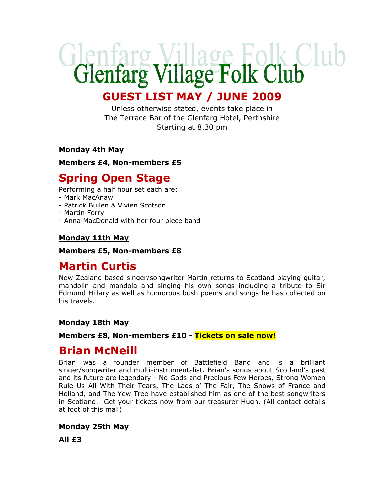# Glenfarg Village Folk Club

# GUEST LIST MAY / JUNE 2009

Unless otherwise stated, events take place in The Terrace Bar of the Glenfarg Hotel, Perthshire Starting at 8.30 pm

## Monday 4th May

Members £4, Non-members £5

# Spring Open Stage

Performing a half hour set each are:

- Mark MacAnaw
- Patrick Bullen & Vivien Scotson
- Martin Forry
- Anna MacDonald with her four piece band

## Monday 11th May

#### Members £5, Non-members £8

# Martin Curtis

New Zealand based singer/songwriter Martin returns to Scotland playing guitar, mandolin and mandola and singing his own songs including a tribute to Sir Edmund Hillary as well as humorous bush poems and songs he has collected on his travels.

## Monday 18th May

## Members £8, Non-members £10 - Tickets on sale now!

# Brian McNeill

Brian was a founder member of Battlefield Band and is a brilliant singer/songwriter and multi-instrumentalist. Brian's songs about Scotland's past and its future are legendary - No Gods and Precious Few Heroes, Strong Women Rule Us All With Their Tears, The Lads o' The Fair, The Snows of France and Holland, and The Yew Tree have established him as one of the best songwriters in Scotland. Get your tickets now from our treasurer Hugh. (All contact details at foot of this mail)

## Monday 25th May

All £3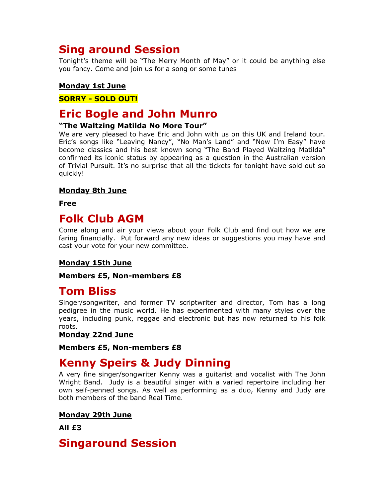# Sing around Session

Tonight's theme will be "The Merry Month of May" or it could be anything else you fancy. Come and join us for a song or some tunes

## Monday 1st June

## SORRY - SOLD OUT!

## Eric Bogle and John Munro

## "The Waltzing Matilda No More Tour"

We are very pleased to have Eric and John with us on this UK and Ireland tour. Eric's songs like "Leaving Nancy", "No Man's Land" and "Now I'm Easy" have become classics and his best known song "The Band Played Waltzing Matilda" confirmed its iconic status by appearing as a question in the Australian version of Trivial Pursuit. It's no surprise that all the tickets for tonight have sold out so quickly!

## Monday 8th June

Free

## Folk Club AGM

Come along and air your views about your Folk Club and find out how we are faring financially. Put forward any new ideas or suggestions you may have and cast your vote for your new committee.

## Monday 15th June

#### Members £5, Non-members £8

## Tom Bliss

Singer/songwriter, and former TV scriptwriter and director, Tom has a long pedigree in the music world. He has experimented with many styles over the years, including punk, reggae and electronic but has now returned to his folk roots.

## Monday 22nd June

#### Members £5, Non-members £8

# Kenny Speirs & Judy Dinning

A very fine singer/songwriter Kenny was a guitarist and vocalist with The John Wright Band. Judy is a beautiful singer with a varied repertoire including her own self-penned songs. As well as performing as a duo, Kenny and Judy are both members of the band Real Time.

## Monday 29th June

All £3

## Singaround Session